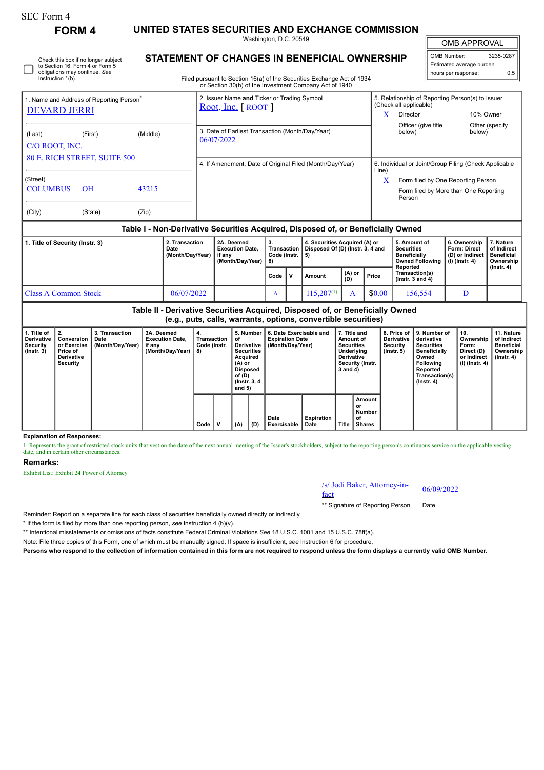## SEC Form 4

Instruction 1(b).

**FORM 4 UNITED STATES SECURITIES AND EXCHANGE COMMISSION** Washington, D.C. 20549

OMB APPROVAL

 $\mathbb{I}$ 

| OMB Number:              | 3235-0287 |  |  |  |  |  |  |
|--------------------------|-----------|--|--|--|--|--|--|
| Estimated average burden |           |  |  |  |  |  |  |
| hours per response:      | 0.5       |  |  |  |  |  |  |

| STATEMENT OF CHANGES IN BENEFICIAL OWNERSHIP |  |
|----------------------------------------------|--|
|----------------------------------------------|--|

Filed pursuant to Section 16(a) of the Securities Exchange Act of 1934 or Section 30(h) of the Investment Company Act of 1940

|                                                                                        | 1. Name and Address of Reporting Person <sup>®</sup> |       | 2. Issuer Name and Ticker or Trading Symbol                    | 5. Relationship of Reporting Person(s) to Issuer<br>(Check all applicable) |                                                       |                          |  |  |  |
|----------------------------------------------------------------------------------------|------------------------------------------------------|-------|----------------------------------------------------------------|----------------------------------------------------------------------------|-------------------------------------------------------|--------------------------|--|--|--|
| <b>DEVARD JERRI</b>                                                                    |                                                      |       | Root, Inc. $[$ ROOT $]$                                        | x                                                                          | Director                                              | 10% Owner                |  |  |  |
| (Middle)<br>(First)<br>(Last)<br>C/O ROOT, INC.<br><b>80 E. RICH STREET, SUITE 500</b> |                                                      |       | 3. Date of Earliest Transaction (Month/Day/Year)<br>06/07/2022 |                                                                            | Officer (give title<br>below)                         | Other (specify<br>below) |  |  |  |
|                                                                                        |                                                      |       | 4. If Amendment, Date of Original Filed (Month/Day/Year)       | Line)                                                                      | 6. Individual or Joint/Group Filing (Check Applicable |                          |  |  |  |
| (Street)                                                                               |                                                      |       |                                                                | X                                                                          | Form filed by One Reporting Person                    |                          |  |  |  |
| <b>COLUMBUS</b>                                                                        | $\overline{OH}$                                      | 43215 |                                                                |                                                                            | Form filed by More than One Reporting<br>Person       |                          |  |  |  |
| (City)                                                                                 | (State)                                              | (Zip) |                                                                |                                                                            |                                                       |                          |  |  |  |

### **Table I - Non-Derivative Securities Acquired, Disposed of, or Beneficially Owned**

| 1. Title of Security (Instr. 3) | 2. Transaction<br>Date<br>(Month/Dav/Year) | 2A. Deemed<br><b>Execution Date.</b><br>if anv<br>(Month/Dav/Year) | З.<br>Transaction  <br>Code (Instr. $\vert 5 \rangle$<br>-8) |              | 4. Securities Acquired (A) or<br>Disposed Of (D) (Instr. 3, 4 and |               |        | 5. Amount of<br><b>Securities</b><br><b>Beneficially</b><br>Owned Following<br>Reported | 6. Ownership<br><b>Form: Direct</b><br>(D) or Indirect<br>(I) (Instr. 4) | . Nature<br>of Indirect<br><b>Beneficial</b><br>Ownership |
|---------------------------------|--------------------------------------------|--------------------------------------------------------------------|--------------------------------------------------------------|--------------|-------------------------------------------------------------------|---------------|--------|-----------------------------------------------------------------------------------------|--------------------------------------------------------------------------|-----------------------------------------------------------|
|                                 |                                            |                                                                    | Code                                                         | $\mathbf{v}$ | Amount                                                            | (A) or<br>(D) | Price  | Transaction(s)<br>( $lnstr.$ 3 and 4)                                                   |                                                                          | $($ lnstr $, 4)$                                          |
| Class A Common Stock            | 06/07/2022                                 |                                                                    | A                                                            |              | $115.207^{(1)}$                                                   |               | \$0.00 | 156.554                                                                                 |                                                                          |                                                           |

| Table II - Derivative Securities Acquired, Disposed of, or Beneficially Owned<br>(e.g., puts, calls, warrants, options, convertible securities) |                                                                               |                                            |                                                                    |                                                |  |                                                                                                                                    |     |                                                                       |                    |                                                                                                                   |                                               |                                                                  |                                                                                                                                                 |                                                                          |                                                                            |
|-------------------------------------------------------------------------------------------------------------------------------------------------|-------------------------------------------------------------------------------|--------------------------------------------|--------------------------------------------------------------------|------------------------------------------------|--|------------------------------------------------------------------------------------------------------------------------------------|-----|-----------------------------------------------------------------------|--------------------|-------------------------------------------------------------------------------------------------------------------|-----------------------------------------------|------------------------------------------------------------------|-------------------------------------------------------------------------------------------------------------------------------------------------|--------------------------------------------------------------------------|----------------------------------------------------------------------------|
| 1. Title of<br><b>Derivative</b><br>Security<br>$($ lnstr. 3 $)$                                                                                | Conversion<br>or Exercise<br>Price of<br><b>Derivative</b><br><b>Security</b> | 3. Transaction<br>Date<br>(Month/Day/Year) | 3A. Deemed<br><b>Execution Date.</b><br>if any<br>(Month/Day/Year) | 4.<br><b>Transaction</b><br>Code (Instr.<br>8) |  | 5. Number<br>οf<br>Derivative<br><b>Securities</b><br>Acquired<br>(A) or<br><b>Disposed</b><br>of (D)<br>(Instr. 3, 4)<br>and $5)$ |     | 6. Date Exercisable and<br><b>Expiration Date</b><br>(Month/Day/Year) |                    | 7. Title and<br>Amount of<br><b>Securities</b><br>Underlying<br><b>Derivative</b><br>Security (Instr.<br>3 and 4) |                                               | 8. Price of<br><b>Derivative</b><br>Security<br>$($ lnstr. 5 $)$ | 9. Number of<br>derivative<br><b>Securities</b><br><b>Beneficially</b><br>Owned<br><b>Following</b><br>Reported<br>Transaction(s)<br>(Instr. 4) | 10.<br>Ownership<br>Form:<br>Direct (D)<br>or Indirect<br>(I) (Instr. 4) | 11. Nature<br>of Indirect<br>Beneficial<br>Ownership  <br>$($ lnstr. 4 $)$ |
|                                                                                                                                                 |                                                                               |                                            |                                                                    | Code                                           |  | (A)                                                                                                                                | (D) | Date<br>Exercisable                                                   | Expiration<br>Date | Title                                                                                                             | Amount<br>or<br><b>Number</b><br>οf<br>Shares |                                                                  |                                                                                                                                                 |                                                                          |                                                                            |

#### **Explanation of Responses:**

1. Represents the grant of restricted stock units that vest on the date of the next annual meeting of the Issuer's stockholders, subject to the reporting person's continuous service on the applicable vesting date, and in certain other circumstances.

#### **Remarks:**

Exhibit List: Exhibit 24 Power of Attorney

# /s/ Jodi Baker, Attorney-in-<br>fact

\*\* Signature of Reporting Person Date

Reminder: Report on a separate line for each class of securities beneficially owned directly or indirectly.

\* If the form is filed by more than one reporting person, *see* Instruction 4 (b)(v).

\*\* Intentional misstatements or omissions of facts constitute Federal Criminal Violations *See* 18 U.S.C. 1001 and 15 U.S.C. 78ff(a).

Note: File three copies of this Form, one of which must be manually signed. If space is insufficient, *see* Instruction 6 for procedure.

**Persons who respond to the collection of information contained in this form are not required to respond unless the form displays a currently valid OMB Number.**

Check this box if no longer subject to Section 16. Form 4 or Form 5 obligations may continue. *See*